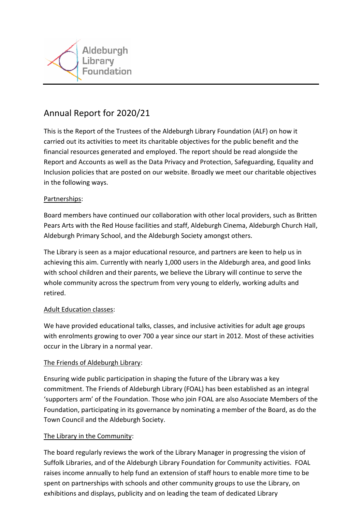

# Annual Report for 2020/21

This is the Report of the Trustees of the Aldeburgh Library Foundation (ALF) on how it carried out its activities to meet its charitable objectives for the public benefit and the financial resources generated and employed. The report should be read alongside the Report and Accounts as well as the Data Privacy and Protection, Safeguarding, Equality and Inclusion policies that are posted on our website. Broadly we meet our charitable objectives in the following ways.

## Partnerships:

Board members have continued our collaboration with other local providers, such as Britten Pears Arts with the Red House facilities and staff, Aldeburgh Cinema, Aldeburgh Church Hall, Aldeburgh Primary School, and the Aldeburgh Society amongst others.

The Library is seen as a major educational resource, and partners are keen to help us in achieving this aim. Currently with nearly 1,000 users in the Aldeburgh area, and good links with school children and their parents, we believe the Library will continue to serve the whole community across the spectrum from very young to elderly, working adults and retired.

## Adult Education classes:

We have provided educational talks, classes, and inclusive activities for adult age groups with enrolments growing to over 700 a year since our start in 2012. Most of these activities occur in the Library in a normal year.

## The Friends of Aldeburgh Library:

Ensuring wide public participation in shaping the future of the Library was a key commitment. The Friends of Aldeburgh Library (FOAL) has been established as an integral 'supporters arm' of the Foundation. Those who join FOAL are also Associate Members of the Foundation, participating in its governance by nominating a member of the Board, as do the Town Council and the Aldeburgh Society.

## The Library in the Community:

The board regularly reviews the work of the Library Manager in progressing the vision of Suffolk Libraries, and of the Aldeburgh Library Foundation for Community activities. FOAL raises income annually to help fund an extension of staff hours to enable more time to be spent on partnerships with schools and other community groups to use the Library, on exhibitions and displays, publicity and on leading the team of dedicated Library